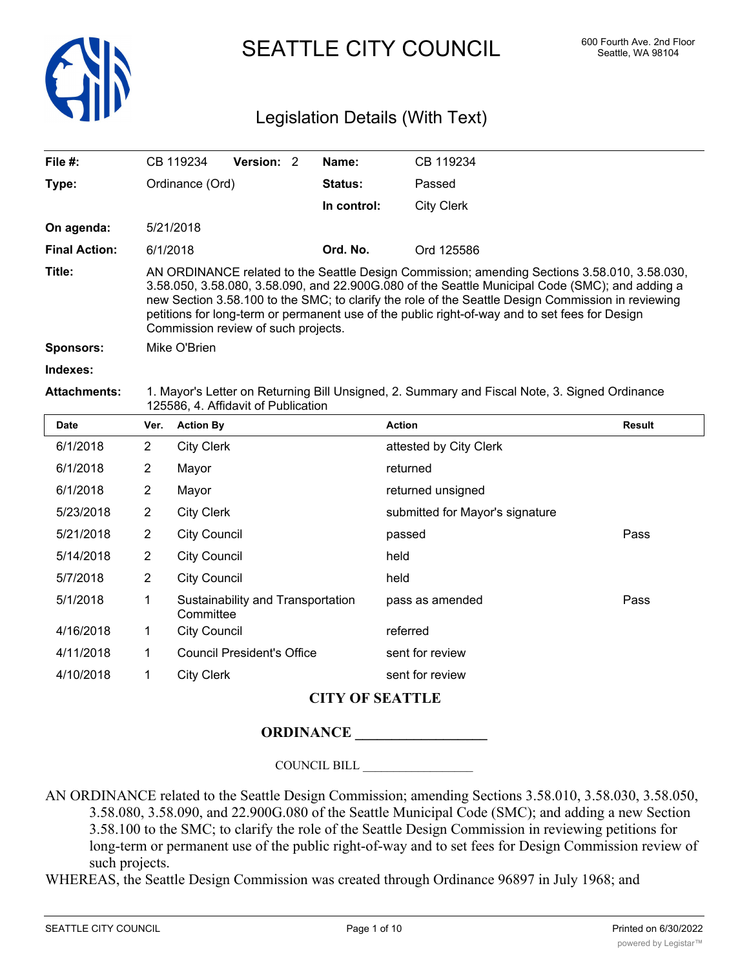

SEATTLE CITY COUNCIL 600 Fourth Ave. 2nd Floor

# Legislation Details (With Text)

| File $#$ :           |                                                                                                                                                                                                                                                                                                                                                                                                                                                | CB 119234                             | Version: 2                        |          | Name:       | CB 119234                       |               |  |
|----------------------|------------------------------------------------------------------------------------------------------------------------------------------------------------------------------------------------------------------------------------------------------------------------------------------------------------------------------------------------------------------------------------------------------------------------------------------------|---------------------------------------|-----------------------------------|----------|-------------|---------------------------------|---------------|--|
| Type:                |                                                                                                                                                                                                                                                                                                                                                                                                                                                | Ordinance (Ord)                       |                                   |          | Status:     | Passed                          |               |  |
|                      |                                                                                                                                                                                                                                                                                                                                                                                                                                                |                                       |                                   |          | In control: | <b>City Clerk</b>               |               |  |
| On agenda:           |                                                                                                                                                                                                                                                                                                                                                                                                                                                | 5/21/2018                             |                                   |          |             |                                 |               |  |
| <b>Final Action:</b> |                                                                                                                                                                                                                                                                                                                                                                                                                                                | 6/1/2018                              |                                   | Ord. No. | Ord 125586  |                                 |               |  |
| Title:               | AN ORDINANCE related to the Seattle Design Commission; amending Sections 3.58.010, 3.58.030,<br>3.58.050, 3.58.080, 3.58.090, and 22.900G.080 of the Seattle Municipal Code (SMC); and adding a<br>new Section 3.58.100 to the SMC; to clarify the role of the Seattle Design Commission in reviewing<br>petitions for long-term or permanent use of the public right-of-way and to set fees for Design<br>Commission review of such projects. |                                       |                                   |          |             |                                 |               |  |
| <b>Sponsors:</b>     | Mike O'Brien                                                                                                                                                                                                                                                                                                                                                                                                                                   |                                       |                                   |          |             |                                 |               |  |
| Indexes:             |                                                                                                                                                                                                                                                                                                                                                                                                                                                |                                       |                                   |          |             |                                 |               |  |
| <b>Attachments:</b>  | 1. Mayor's Letter on Returning Bill Unsigned, 2. Summary and Fiscal Note, 3. Signed Ordinance<br>125586, 4. Affidavit of Publication                                                                                                                                                                                                                                                                                                           |                                       |                                   |          |             |                                 |               |  |
| <b>Date</b>          | Ver.                                                                                                                                                                                                                                                                                                                                                                                                                                           | <b>Action By</b>                      |                                   |          |             | <b>Action</b>                   | <b>Result</b> |  |
| 6/1/2018             | $\overline{2}$                                                                                                                                                                                                                                                                                                                                                                                                                                 | <b>City Clerk</b>                     |                                   |          |             | attested by City Clerk          |               |  |
| 6/1/2018             | 2                                                                                                                                                                                                                                                                                                                                                                                                                                              | Mayor                                 |                                   |          |             | returned                        |               |  |
| 6/1/2018             | $\overline{2}$                                                                                                                                                                                                                                                                                                                                                                                                                                 | Mayor                                 |                                   |          |             | returned unsigned               |               |  |
| 5/23/2018            | $\overline{c}$                                                                                                                                                                                                                                                                                                                                                                                                                                 | <b>City Clerk</b>                     |                                   |          |             | submitted for Mayor's signature |               |  |
| 5/21/2018            | $\overline{2}$                                                                                                                                                                                                                                                                                                                                                                                                                                 | <b>City Council</b>                   |                                   |          |             | passed                          | Pass          |  |
| 5/14/2018            | $\overline{2}$                                                                                                                                                                                                                                                                                                                                                                                                                                 | <b>City Council</b>                   |                                   |          |             | held                            |               |  |
| 5/7/2018             | 2                                                                                                                                                                                                                                                                                                                                                                                                                                              | <b>City Council</b>                   |                                   |          |             | held                            |               |  |
| 5/1/2018             | 1                                                                                                                                                                                                                                                                                                                                                                                                                                              | $C$ ammittaa $\overline{\phantom{a}}$ | Sustainability and Transportation |          |             | pass as amended                 | Pass          |  |

| 5/1/2018  | $\mathbf{1}$   | Sustainability and Transportation<br>Committee | pass as amended |
|-----------|----------------|------------------------------------------------|-----------------|
| 4/16/2018 | $\overline{1}$ | City Council                                   | referred        |
| 4/11/2018 | 1              | Council President's Office                     | sent for review |
| 4/10/2018 |                | City Clerk                                     | sent for review |

### **CITY OF SEATTLE**

# **ORDINANCE \_\_\_\_\_\_\_\_\_\_\_\_\_\_\_\_\_\_**

COUNCIL BILL \_\_\_\_\_\_\_\_\_\_\_\_\_\_\_\_\_\_

AN ORDINANCE related to the Seattle Design Commission; amending Sections 3.58.010, 3.58.030, 3.58.050, 3.58.080, 3.58.090, and 22.900G.080 of the Seattle Municipal Code (SMC); and adding a new Section 3.58.100 to the SMC; to clarify the role of the Seattle Design Commission in reviewing petitions for long-term or permanent use of the public right-of-way and to set fees for Design Commission review of such projects.

WHEREAS, the Seattle Design Commission was created through Ordinance 96897 in July 1968; and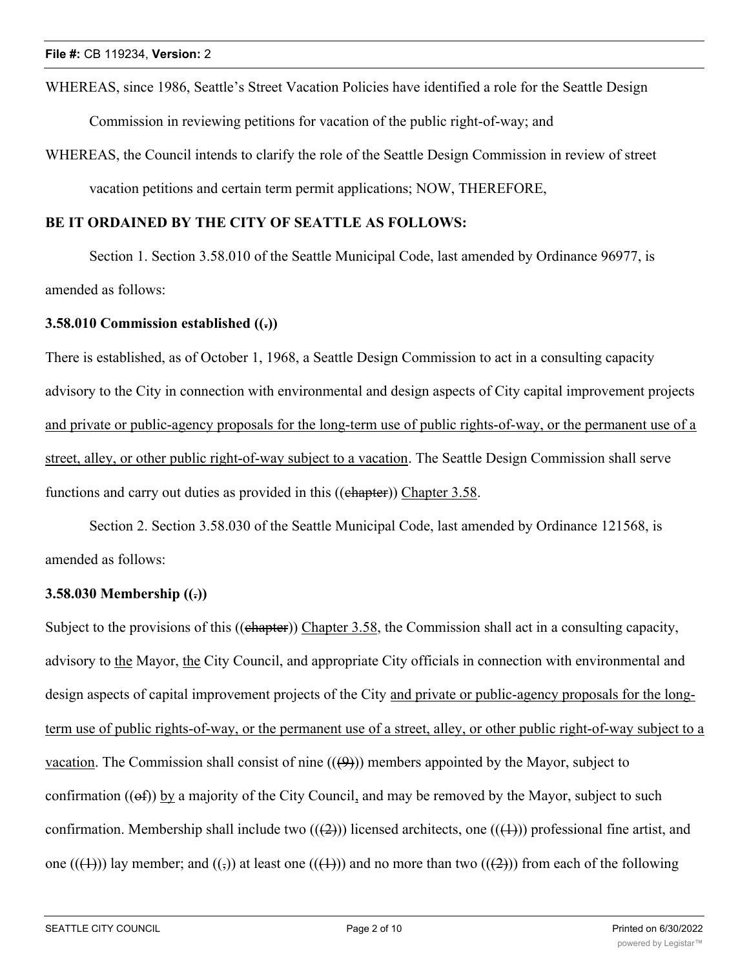WHEREAS, since 1986, Seattle's Street Vacation Policies have identified a role for the Seattle Design

Commission in reviewing petitions for vacation of the public right-of-way; and

WHEREAS, the Council intends to clarify the role of the Seattle Design Commission in review of street vacation petitions and certain term permit applications; NOW, THEREFORE,

### **BE IT ORDAINED BY THE CITY OF SEATTLE AS FOLLOWS:**

Section 1. Section 3.58.010 of the Seattle Municipal Code, last amended by Ordinance 96977, is amended as follows:

#### **3.58.010 Commission established ((.))**

There is established, as of October 1, 1968, a Seattle Design Commission to act in a consulting capacity advisory to the City in connection with environmental and design aspects of City capital improvement projects and private or public-agency proposals for the long-term use of public rights-of-way, or the permanent use of a street, alley, or other public right-of-way subject to a vacation. The Seattle Design Commission shall serve functions and carry out duties as provided in this ((chapter)) Chapter 3.58.

Section 2. Section 3.58.030 of the Seattle Municipal Code, last amended by Ordinance 121568, is amended as follows:

### **3.58.030 Membership ((.))**

Subject to the provisions of this ((chapter)) Chapter 3.58, the Commission shall act in a consulting capacity, advisory to the Mayor, the City Council, and appropriate City officials in connection with environmental and design aspects of capital improvement projects of the City and private or public-agency proposals for the longterm use of public rights-of-way, or the permanent use of a street, alley, or other public right-of-way subject to a vacation. The Commission shall consist of nine  $((4)$ ) members appointed by the Mayor, subject to confirmation  $((\theta f))$  by a majority of the City Council, and may be removed by the Mayor, subject to such confirmation. Membership shall include two  $((2))$  licensed architects, one  $((1))$  professional fine artist, and one  $((+))$  lay member; and  $((,)$  at least one  $((+))$  and no more than two  $((+2))$  from each of the following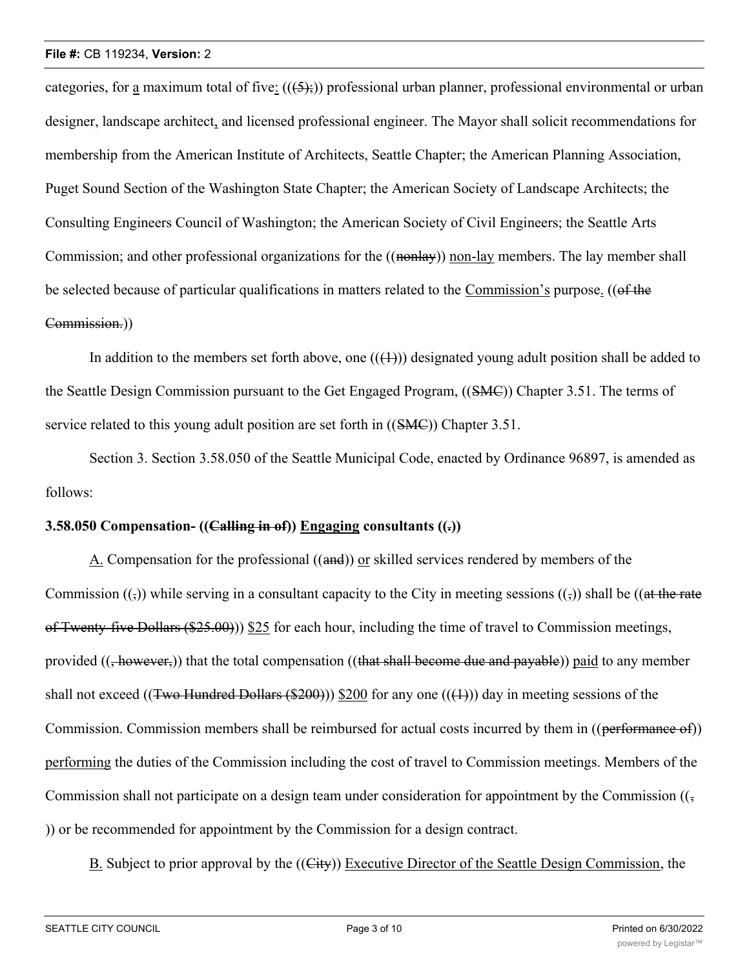categories, for a maximum total of five:  $((5,))$  professional urban planner, professional environmental or urban designer, landscape architect, and licensed professional engineer. The Mayor shall solicit recommendations for membership from the American Institute of Architects, Seattle Chapter; the American Planning Association, Puget Sound Section of the Washington State Chapter; the American Society of Landscape Architects; the Consulting Engineers Council of Washington; the American Society of Civil Engineers; the Seattle Arts Commission; and other professional organizations for the ((nonlay)) non-lay members. The lay member shall be selected because of particular qualifications in matters related to the Commission's purpose. ((of the Commission.))

In addition to the members set forth above, one  $((+))$  designated young adult position shall be added to the Seattle Design Commission pursuant to the Get Engaged Program, ((SMC)) Chapter 3.51. The terms of service related to this young adult position are set forth in ((SMC)) Chapter 3.51.

Section 3. Section 3.58.050 of the Seattle Municipal Code, enacted by Ordinance 96897, is amended as follows:

# **3.58.050 Compensation- ((Calling in of)) Engaging consultants ((.))**

A. Compensation for the professional ((and)) or skilled services rendered by members of the Commission  $((\overline{\zeta}))$  while serving in a consultant capacity to the City in meeting sessions  $((\overline{\zeta}))$  shall be  $((\overline{\zeta})$ of Twenty-five Dollars (\$25.00))) \$25 for each hour, including the time of travel to Commission meetings, provided  $((\frac{1}{2}however))$  that the total compensation  $((\frac{1}{2}hawear)$  become due and payable)) paid to any member shall not exceed ((Two Hundred Dollars (\$200))) \$200 for any one (( $(1)$ )) day in meeting sessions of the Commission. Commission members shall be reimbursed for actual costs incurred by them in ((performance of)) performing the duties of the Commission including the cost of travel to Commission meetings. Members of the Commission shall not participate on a design team under consideration for appointment by the Commission  $((\frac{1}{2}, \frac{1}{2})$ )) or be recommended for appointment by the Commission for a design contract.

B. Subject to prior approval by the ((City)) Executive Director of the Seattle Design Commission, the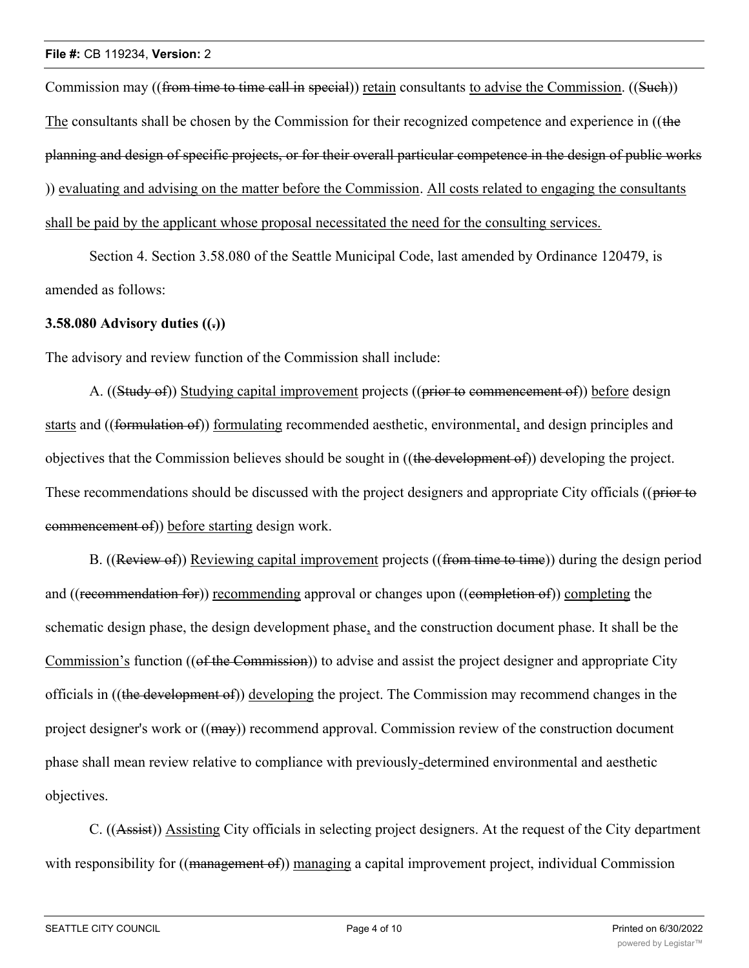Commission may ((from time to time call in special)) retain consultants to advise the Commission. ((Such)) The consultants shall be chosen by the Commission for their recognized competence and experience in ((the planning and design of specific projects, or for their overall particular competence in the design of public works )) evaluating and advising on the matter before the Commission. All costs related to engaging the consultants shall be paid by the applicant whose proposal necessitated the need for the consulting services.

Section 4. Section 3.58.080 of the Seattle Municipal Code, last amended by Ordinance 120479, is amended as follows:

### **3.58.080 Advisory duties ((.))**

The advisory and review function of the Commission shall include:

A. ((Study of)) Studying capital improvement projects ((prior to commencement of)) before design starts and ((formulation of)) formulating recommended aesthetic, environmental, and design principles and objectives that the Commission believes should be sought in ((the development of)) developing the project. These recommendations should be discussed with the project designers and appropriate City officials ((prior to commencement of)) before starting design work.

B. ((Review of)) Reviewing capital improvement projects ((from time to time)) during the design period and ((recommendation for)) recommending approval or changes upon ((completion of)) completing the schematic design phase, the design development phase, and the construction document phase. It shall be the Commission's function ((of the Commission)) to advise and assist the project designer and appropriate City officials in ((the development of)) developing the project. The Commission may recommend changes in the project designer's work or ((may)) recommend approval. Commission review of the construction document phase shall mean review relative to compliance with previously-determined environmental and aesthetic objectives.

C. ((Assist)) Assisting City officials in selecting project designers. At the request of the City department with responsibility for ((management of)) managing a capital improvement project, individual Commission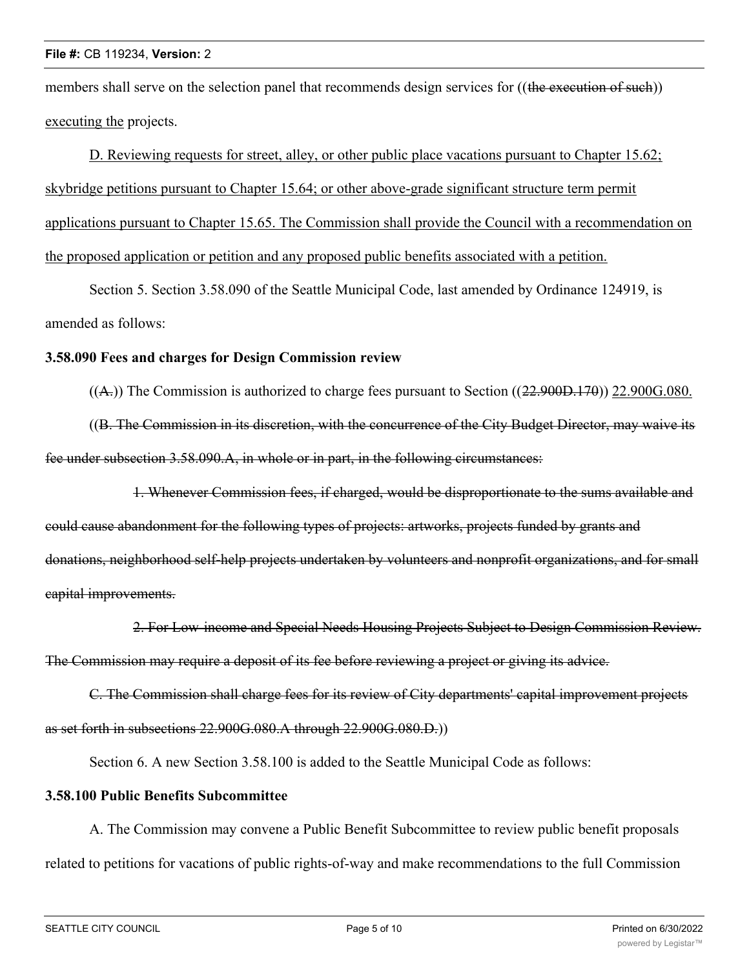members shall serve on the selection panel that recommends design services for ((the execution of such)) executing the projects.

D. Reviewing requests for street, alley, or other public place vacations pursuant to Chapter 15.62; skybridge petitions pursuant to Chapter 15.64; or other above-grade significant structure term permit applications pursuant to Chapter 15.65. The Commission shall provide the Council with a recommendation on the proposed application or petition and any proposed public benefits associated with a petition.

Section 5. Section 3.58.090 of the Seattle Municipal Code, last amended by Ordinance 124919, is amended as follows:

### **3.58.090 Fees and charges for Design Commission review**

 $((A))$ . The Commission is authorized to charge fees pursuant to Section  $((22.900D.170))$  22.900G.080.

((B. The Commission in its discretion, with the concurrence of the City Budget Director, may waive its fee under subsection 3.58.090.A, in whole or in part, in the following circumstances:

1. Whenever Commission fees, if charged, would be disproportionate to the sums available and could cause abandonment for the following types of projects: artworks, projects funded by grants and donations, neighborhood self-help projects undertaken by volunteers and nonprofit organizations, and for small capital improvements.

2. For Low-income and Special Needs Housing Projects Subject to Design Commission Review. The Commission may require a deposit of its fee before reviewing a project or giving its advice.

C. The Commission shall charge fees for its review of City departments' capital improvement projects as set forth in subsections 22.900G.080.A through 22.900G.080.D.))

Section 6. A new Section 3.58.100 is added to the Seattle Municipal Code as follows:

# **3.58.100 Public Benefits Subcommittee**

A. The Commission may convene a Public Benefit Subcommittee to review public benefit proposals related to petitions for vacations of public rights-of-way and make recommendations to the full Commission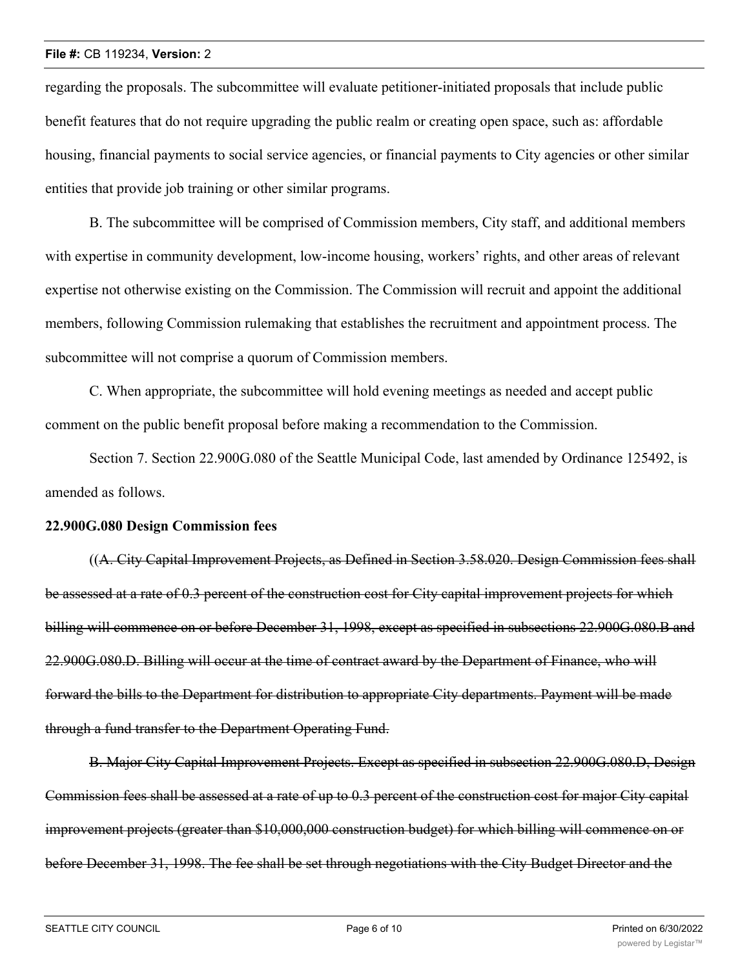#### **File #:** CB 119234, **Version:** 2

regarding the proposals. The subcommittee will evaluate petitioner-initiated proposals that include public benefit features that do not require upgrading the public realm or creating open space, such as: affordable housing, financial payments to social service agencies, or financial payments to City agencies or other similar entities that provide job training or other similar programs.

B. The subcommittee will be comprised of Commission members, City staff, and additional members with expertise in community development, low-income housing, workers' rights, and other areas of relevant expertise not otherwise existing on the Commission. The Commission will recruit and appoint the additional members, following Commission rulemaking that establishes the recruitment and appointment process. The subcommittee will not comprise a quorum of Commission members.

C. When appropriate, the subcommittee will hold evening meetings as needed and accept public comment on the public benefit proposal before making a recommendation to the Commission.

Section 7. Section 22.900G.080 of the Seattle Municipal Code, last amended by Ordinance 125492, is amended as follows.

#### **22.900G.080 Design Commission fees**

((A. City Capital Improvement Projects, as Defined in Section 3.58.020. Design Commission fees shall be assessed at a rate of 0.3 percent of the construction cost for City capital improvement projects for which billing will commence on or before December 31, 1998, except as specified in subsections 22.900G.080.B and 22.900G.080.D. Billing will occur at the time of contract award by the Department of Finance, who will forward the bills to the Department for distribution to appropriate City departments. Payment will be made through a fund transfer to the Department Operating Fund.

B. Major City Capital Improvement Projects. Except as specified in subsection 22.900G.080.D, Design Commission fees shall be assessed at a rate of up to 0.3 percent of the construction cost for major City capital improvement projects (greater than \$10,000,000 construction budget) for which billing will commence on or before December 31, 1998. The fee shall be set through negotiations with the City Budget Director and the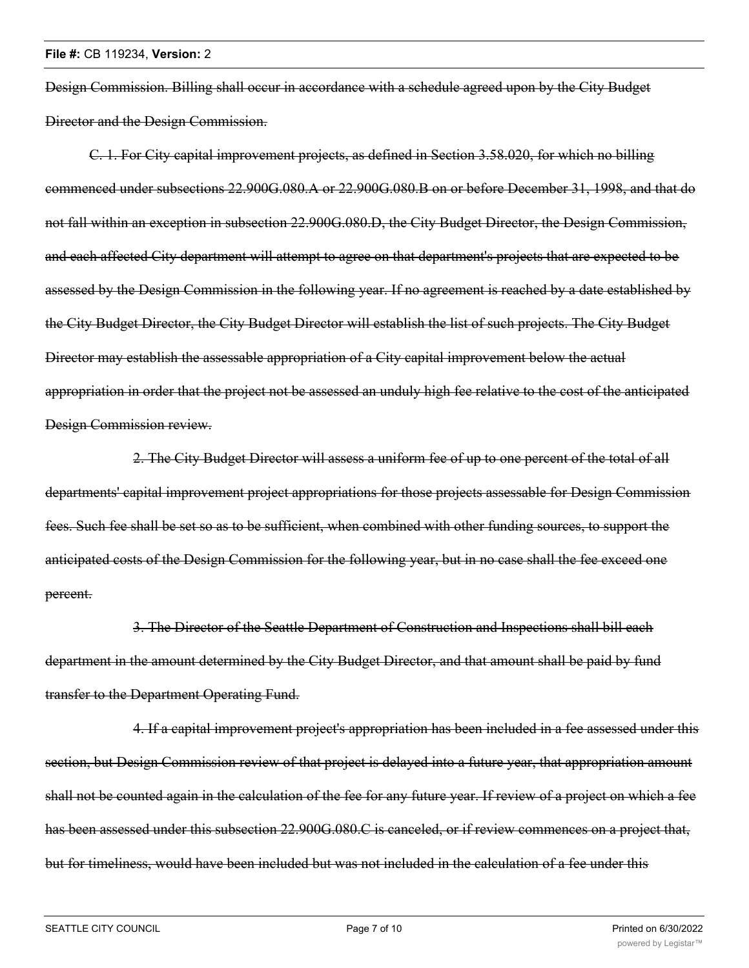Design Commission. Billing shall occur in accordance with a schedule agreed upon by the City Budget Director and the Design Commission.

C. 1. For City capital improvement projects, as defined in Section 3.58.020, for which no billing commenced under subsections 22.900G.080.A or 22.900G.080.B on or before December 31, 1998, and that do not fall within an exception in subsection 22.900G.080.D, the City Budget Director, the Design Commission, and each affected City department will attempt to agree on that department's projects that are expected to be assessed by the Design Commission in the following year. If no agreement is reached by a date established by the City Budget Director, the City Budget Director will establish the list of such projects. The City Budget Director may establish the assessable appropriation of a City capital improvement below the actual appropriation in order that the project not be assessed an unduly high fee relative to the cost of the anticipated Design Commission review.

2. The City Budget Director will assess a uniform fee of up to one percent of the total of all departments' capital improvement project appropriations for those projects assessable for Design Commission fees. Such fee shall be set so as to be sufficient, when combined with other funding sources, to support the anticipated costs of the Design Commission for the following year, but in no case shall the fee exceed one percent.

3. The Director of the Seattle Department of Construction and Inspections shall bill each department in the amount determined by the City Budget Director, and that amount shall be paid by fund transfer to the Department Operating Fund.

4. If a capital improvement project's appropriation has been included in a fee assessed under this section, but Design Commission review of that project is delayed into a future year, that appropriation amount shall not be counted again in the calculation of the fee for any future year. If review of a project on which a fee has been assessed under this subsection 22.900G.080.C is canceled, or if review commences on a project that, but for timeliness, would have been included but was not included in the calculation of a fee under this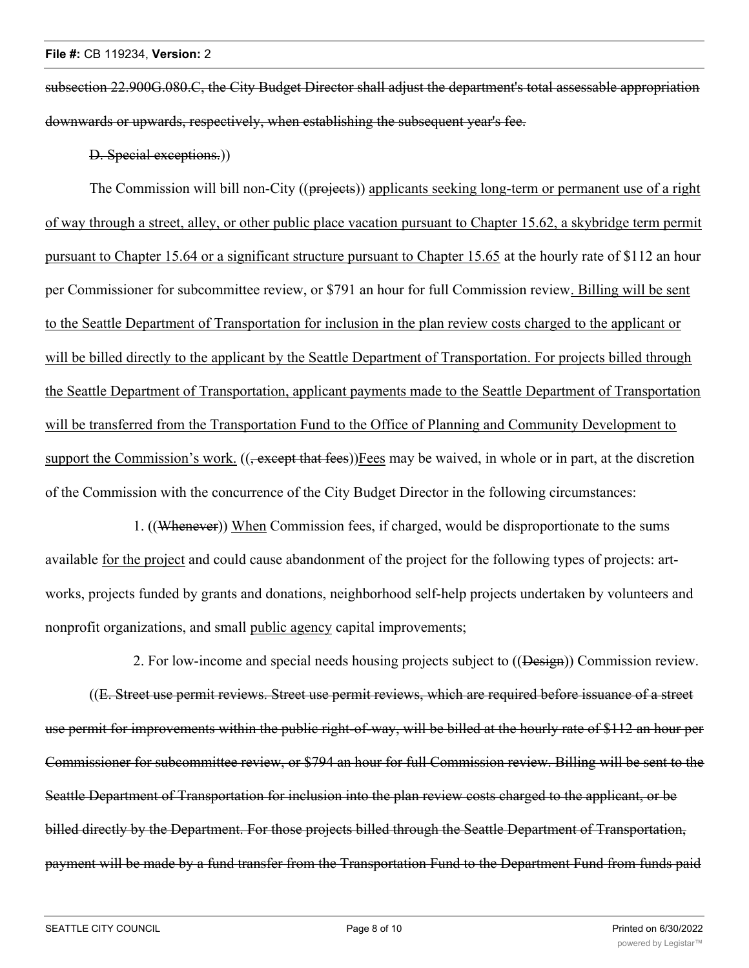subsection 22.900G.080.C, the City Budget Director shall adjust the department's total assessable appropriation downwards or upwards, respectively, when establishing the subsequent year's fee.

D. Special exceptions.))

The Commission will bill non-City ((projects)) applicants seeking long-term or permanent use of a right of way through a street, alley, or other public place vacation pursuant to Chapter 15.62, a skybridge term permit pursuant to Chapter 15.64 or a significant structure pursuant to Chapter 15.65 at the hourly rate of \$112 an hour per Commissioner for subcommittee review, or \$791 an hour for full Commission review. Billing will be sent to the Seattle Department of Transportation for inclusion in the plan review costs charged to the applicant or will be billed directly to the applicant by the Seattle Department of Transportation. For projects billed through the Seattle Department of Transportation, applicant payments made to the Seattle Department of Transportation will be transferred from the Transportation Fund to the Office of Planning and Community Development to support the Commission's work. ((<del>, except that fees</del>))Fees may be waived, in whole or in part, at the discretion of the Commission with the concurrence of the City Budget Director in the following circumstances:

1. ((Whenever)) When Commission fees, if charged, would be disproportionate to the sums available for the project and could cause abandonment of the project for the following types of projects: artworks, projects funded by grants and donations, neighborhood self-help projects undertaken by volunteers and nonprofit organizations, and small public agency capital improvements;

2. For low-income and special needs housing projects subject to ((Design)) Commission review. ((E. Street use permit reviews. Street use permit reviews, which are required before issuance of a street use permit for improvements within the public right-of-way, will be billed at the hourly rate of \$112 an hour per Commissioner for subcommittee review, or \$794 an hour for full Commission review. Billing will be sent to the Seattle Department of Transportation for inclusion into the plan review costs charged to the applicant, or be billed directly by the Department. For those projects billed through the Seattle Department of Transportation, payment will be made by a fund transfer from the Transportation Fund to the Department Fund from funds paid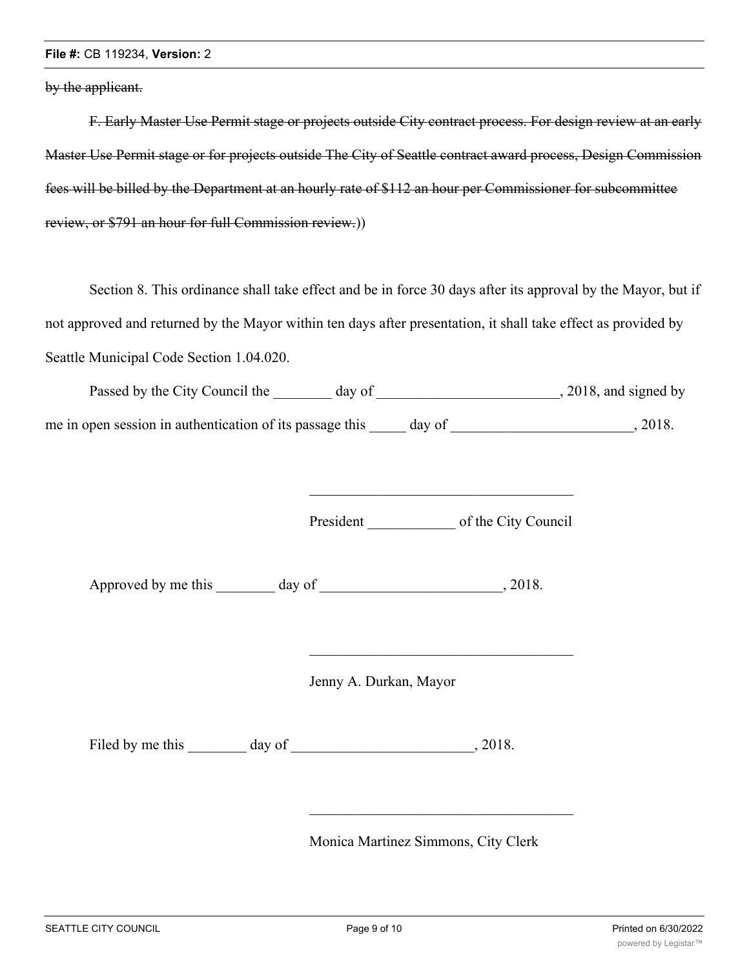#### **File #:** CB 119234, **Version:** 2

by the applicant.

F. Early Master Use Permit stage or projects outside City contract process. For design review at an early Master Use Permit stage or for projects outside The City of Seattle contract award process, Design Commission fees will be billed by the Department at an hourly rate of \$112 an hour per Commissioner for subcommittee review, or \$791 an hour for full Commission review.))

Section 8. This ordinance shall take effect and be in force 30 days after its approval by the Mayor, but if not approved and returned by the Mayor within ten days after presentation, it shall take effect as provided by Seattle Municipal Code Section 1.04.020.

| Passed by the City Council the                           | day of | , 2018, and signed by |
|----------------------------------------------------------|--------|-----------------------|
| me in open session in authentication of its passage this | day of | 2018.                 |

President of the City Council

\_\_\_\_\_\_\_\_\_\_\_\_\_\_\_\_\_\_\_\_\_\_\_\_\_\_\_\_\_\_\_\_\_\_\_\_

Approved by me this day of the case of the case of the case of  $\alpha$ , 2018.

Jenny A. Durkan, Mayor

Filed by me this day of , 2018.

Monica Martinez Simmons, City Clerk